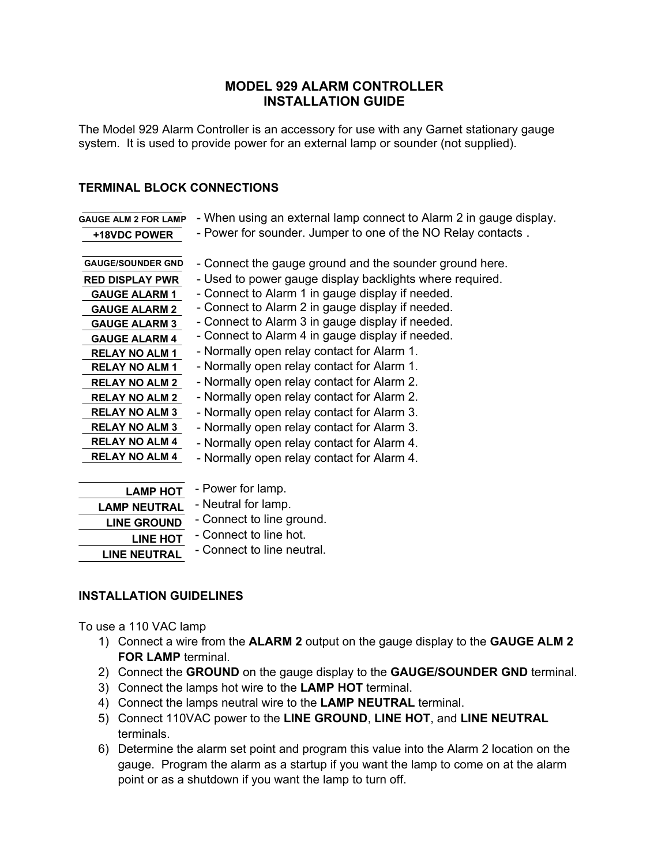## **MODEL 929 ALARM CONTROLLER INSTALLATION GUIDE**

The Model 929 Alarm Controller is an accessory for use with any Garnet stationary gauge system. It is used to provide power for an external lamp or sounder (not supplied).

## **TERMINAL BLOCK CONNECTIONS**

| <b>GAUGE ALM 2 FOR LAMP</b>                                                                                                                                                                                                                                                                                                       | - When using an external lamp connect to Alarm 2 in gauge display.                                                                                                                                                                                                                                                                                                                                                                                                                                                                                                                                                                                                    |
|-----------------------------------------------------------------------------------------------------------------------------------------------------------------------------------------------------------------------------------------------------------------------------------------------------------------------------------|-----------------------------------------------------------------------------------------------------------------------------------------------------------------------------------------------------------------------------------------------------------------------------------------------------------------------------------------------------------------------------------------------------------------------------------------------------------------------------------------------------------------------------------------------------------------------------------------------------------------------------------------------------------------------|
| +18VDC POWER                                                                                                                                                                                                                                                                                                                      | - Power for sounder. Jumper to one of the NO Relay contacts.                                                                                                                                                                                                                                                                                                                                                                                                                                                                                                                                                                                                          |
| <b>GAUGE/SOUNDER GND</b><br><b>RED DISPLAY PWR</b><br><b>GAUGE ALARM 1</b><br><b>GAUGE ALARM 2</b><br><b>GAUGE ALARM 3</b><br><b>GAUGE ALARM 4</b><br><b>RELAY NO ALM 1</b><br><b>RELAY NO ALM 1</b><br><b>RELAY NO ALM 2</b><br><b>RELAY NO ALM 2</b><br><b>RELAY NO ALM 3</b><br><b>RELAY NO ALM 3</b><br><b>RELAY NO ALM 4</b> | - Connect the gauge ground and the sounder ground here.<br>- Used to power gauge display backlights where required.<br>- Connect to Alarm 1 in gauge display if needed.<br>- Connect to Alarm 2 in gauge display if needed.<br>- Connect to Alarm 3 in gauge display if needed.<br>- Connect to Alarm 4 in gauge display if needed.<br>- Normally open relay contact for Alarm 1.<br>- Normally open relay contact for Alarm 1.<br>- Normally open relay contact for Alarm 2.<br>- Normally open relay contact for Alarm 2.<br>- Normally open relay contact for Alarm 3.<br>- Normally open relay contact for Alarm 3.<br>- Normally open relay contact for Alarm 4. |
| <b>RELAY NO ALM 4</b>                                                                                                                                                                                                                                                                                                             | - Normally open relay contact for Alarm 4.                                                                                                                                                                                                                                                                                                                                                                                                                                                                                                                                                                                                                            |
|                                                                                                                                                                                                                                                                                                                                   | - Power for lamp.                                                                                                                                                                                                                                                                                                                                                                                                                                                                                                                                                                                                                                                     |
| <b>LAMP HOT</b>                                                                                                                                                                                                                                                                                                                   |                                                                                                                                                                                                                                                                                                                                                                                                                                                                                                                                                                                                                                                                       |

| - Power for lamp.          |
|----------------------------|
| - Neutral for lamp.        |
| - Connect to line ground.  |
| - Connect to line hot.     |
| - Connect to line neutral. |
|                            |

## **INSTALLATION GUIDELINES**

To use a 110 VAC lamp

- 1) Connect a wire from the **ALARM 2** output on the gauge display to the **GAUGE ALM 2 FOR LAMP** terminal.
- 2) Connect the **GROUND** on the gauge display to the **GAUGE/SOUNDER GND** terminal.
- 3) Connect the lamps hot wire to the **LAMP HOT** terminal.
- 4) Connect the lamps neutral wire to the **LAMP NEUTRAL** terminal.
- 5) Connect 110VAC power to the **LINE GROUND**, **LINE HOT**, and **LINE NEUTRAL** terminals.
- 6) Determine the alarm set point and program this value into the Alarm 2 location on the gauge. Program the alarm as a startup if you want the lamp to come on at the alarm point or as a shutdown if you want the lamp to turn off.